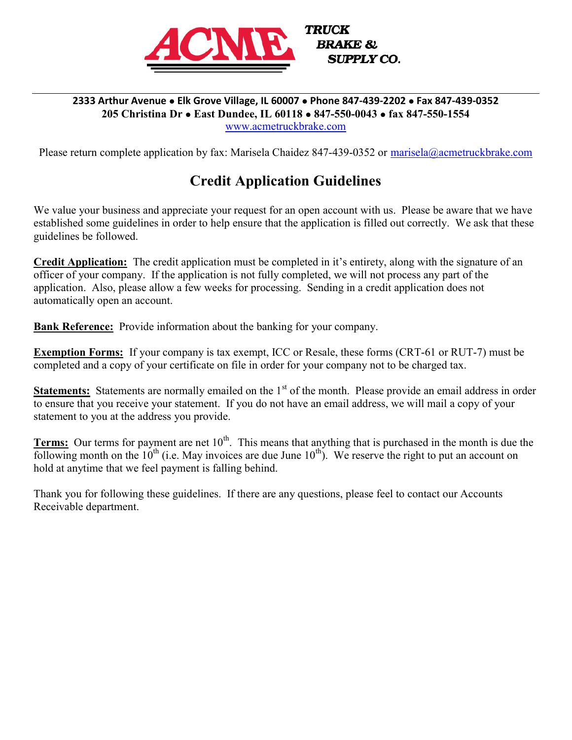

#### 2333 Arthur Avenue . Elk Grove Village, IL 60007 . Phone 847-439-2202 . Fax 847-439-0352 205 Christina Dr • East Dundee, IL 60118 • 847-550-0043 • fax 847-550-1554 www.acmetruckbrake.com

Please return complete application by fax: Marisela Chaidez 847-439-0352 or marisela@acmetruckbrake.com

## Credit Application Guidelines

We value your business and appreciate your request for an open account with us. Please be aware that we have established some guidelines in order to help ensure that the application is filled out correctly. We ask that these guidelines be followed.

Credit Application: The credit application must be completed in it's entirety, along with the signature of an officer of your company. If the application is not fully completed, we will not process any part of the application. Also, please allow a few weeks for processing. Sending in a credit application does not automatically open an account.

Bank Reference: Provide information about the banking for your company.

Exemption Forms: If your company is tax exempt, ICC or Resale, these forms (CRT-61 or RUT-7) must be completed and a copy of your certificate on file in order for your company not to be charged tax.

Statements: Statements are normally emailed on the 1<sup>st</sup> of the month. Please provide an email address in order to ensure that you receive your statement. If you do not have an email address, we will mail a copy of your statement to you at the address you provide.

**Terms:** Our terms for payment are net  $10<sup>th</sup>$ . This means that anything that is purchased in the month is due the following month on the  $10^{th}$  (i.e. May invoices are due June  $10^{th}$ ). We reserve the right to put an account on hold at anytime that we feel payment is falling behind.

Thank you for following these guidelines. If there are any questions, please feel to contact our Accounts Receivable department.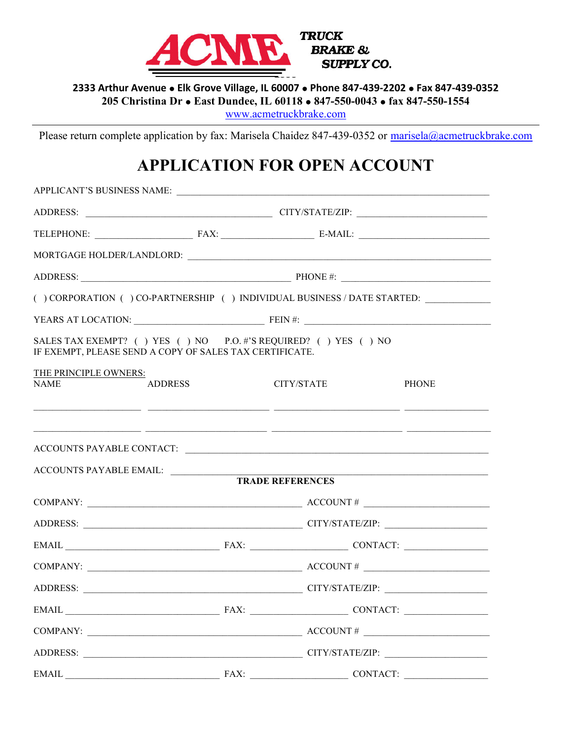

2333 Arthur Avenue . Elk Grove Village, IL 60007 . Phone 847-439-2202 . Fax 847-439-0352

205 Christina Dr · East Dundee, IL 60118 · 847-550-0043 · fax 847-550-1554

www.acmetruckbrake.com

Please return complete application by fax: Marisela Chaidez 847-439-0352 or marisela@acmetruckbrake.com

# APPLICATION FOR OPEN ACCOUNT

|                                                         |                | APPLICANT'S BUSINESS NAME:                                                                                                         |              |  |
|---------------------------------------------------------|----------------|------------------------------------------------------------------------------------------------------------------------------------|--------------|--|
|                                                         |                |                                                                                                                                    |              |  |
|                                                         |                |                                                                                                                                    |              |  |
|                                                         |                |                                                                                                                                    |              |  |
|                                                         |                |                                                                                                                                    |              |  |
|                                                         |                | ( ) CORPORATION ( ) CO-PARTNERSHIP ( ) INDIVIDUAL BUSINESS / DATE STARTED: ____________                                            |              |  |
|                                                         |                |                                                                                                                                    |              |  |
| IF EXEMPT, PLEASE SEND A COPY OF SALES TAX CERTIFICATE. |                | SALES TAX EXEMPT? () YES () NO P.O. #'S REQUIRED? () YES () NO                                                                     |              |  |
| THE PRINCIPLE OWNERS:<br><b>NAME</b>                    | <b>ADDRESS</b> | CITY/STATE<br><u> 1999 - 1999 - 1999 - 1999 - 1999 - 1999 - 1999 - 1999 - 1999 - 1999 - 1999 - 1999 - 1999 - 1999 - 1999 - 199</u> | <b>PHONE</b> |  |
| ACCOUNTS PAYABLE EMAIL:                                 |                | <u> 1999 - Jan James James, Amerikaansk politiker (d. 1989)</u><br><b>TRADE REFERENCES</b>                                         |              |  |
|                                                         |                |                                                                                                                                    |              |  |
|                                                         |                | COMPANY: $\_\_\_\_\_\_$ ACCOUNT #                                                                                                  |              |  |
|                                                         |                |                                                                                                                                    |              |  |
|                                                         |                |                                                                                                                                    |              |  |
|                                                         |                | COMPANY: $\_\_\_\_\_\_$ ACCOUNT # $\_\_\_\_\_\_\_$                                                                                 |              |  |
|                                                         |                |                                                                                                                                    |              |  |
|                                                         |                | $EMAIL \n\nEMAIL\n\nFAX:\n\nCAX:\n\nCOMTACT:\n\nCOMTACT:$                                                                          |              |  |
|                                                         |                | COMPANY: $\_\_\_\_\_\_$ ACCOUNT # $\_\_\_\_\_\_\_$                                                                                 |              |  |
|                                                         |                |                                                                                                                                    |              |  |
|                                                         |                |                                                                                                                                    | CONTACT:     |  |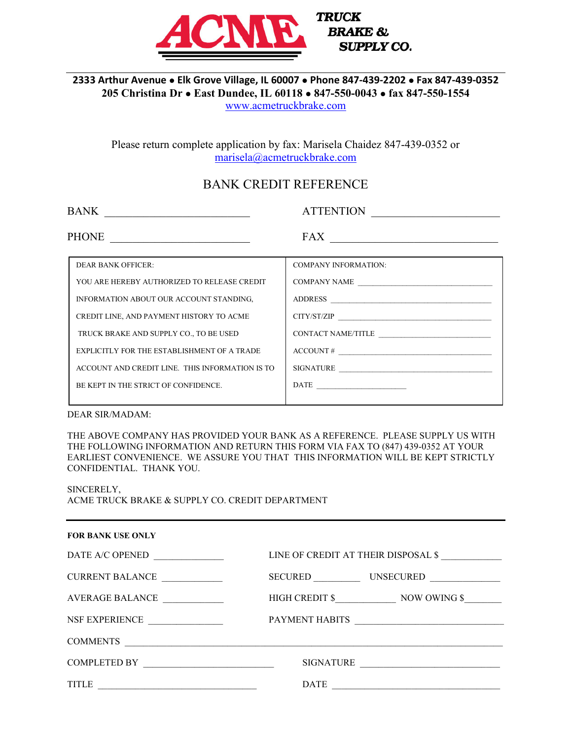

**TRUCK BRAKE & SUPPLY CO.** 

## 2333 Arthur Avenue . Elk Grove Village, IL 60007 . Phone 847-439-2202 . Fax 847-439-0352 205 Christina Dr · East Dundee, IL 60118 · 847-550-0043 · fax 847-550-1554

www.acmetruckbrake.com

Please return complete application by fax: Marisela Chaidez 847-439-0352 or marisela@acmetruckbrake.com

## BANK CREDIT REFERENCE

| <b>BANK</b> | <b>TTENTION</b> |  |
|-------------|-----------------|--|
|             |                 |  |

PHONE \_\_\_\_\_\_\_\_\_\_\_\_\_\_\_\_\_\_\_\_\_\_\_\_\_ FAX \_\_\_\_\_\_\_\_\_\_\_\_\_\_\_\_\_\_\_\_\_\_\_\_\_\_\_\_\_\_

| <b>DEAR BANK OFFICER:</b>                       | <b>COMPANY INFORMATION:</b> |
|-------------------------------------------------|-----------------------------|
| YOU ARE HEREBY AUTHORIZED TO RELEASE CREDIT     | COMPANY NAME                |
| INFORMATION ABOUT OUR ACCOUNT STANDING,         | ADDRESS                     |
| CREDIT LINE, AND PAYMENT HISTORY TO ACME        | $CITY/ST/ZIP$               |
| TRUCK BRAKE AND SUPPLY CO., TO BE USED          | CONTACT NAME/TITLE          |
| EXPLICITLY FOR THE ESTABLISHMENT OF A TRADE     | $\text{ACCOUNT}\#$          |
| ACCOUNT AND CREDIT LINE. THIS INFORMATION IS TO | SIGNATURE                   |
| BE KEPT IN THE STRICT OF CONFIDENCE.            | $\text{DATE}$               |
|                                                 |                             |

DEAR SIR/MADAM:

THE ABOVE COMPANY HAS PROVIDED YOUR BANK AS A REFERENCE. PLEASE SUPPLY US WITH THE FOLLOWING INFORMATION AND RETURN THIS FORM VIA FAX TO (847) 439-0352 AT YOUR EARLIEST CONVENIENCE. WE ASSURE YOU THAT THIS INFORMATION WILL BE KEPT STRICTLY CONFIDENTIAL. THANK YOU.

SINCERELY,

ACME TRUCK BRAKE & SUPPLY CO. CREDIT DEPARTMENT

| <b>FOR BANK USE ONLY</b>                              |                                                                                                                                         |
|-------------------------------------------------------|-----------------------------------------------------------------------------------------------------------------------------------------|
| DATE A/C OPENED                                       | LINE OF CREDIT AT THEIR DISPOSAL \$                                                                                                     |
| <b>CURRENT BALANCE</b><br><u> 1990 - Jan Barat, p</u> | SECURED UNSECURED                                                                                                                       |
| AVERAGE BALANCE<br><u> 1999 - Johann Barnett, f</u>   | HIGH CREDIT \$ NOW OWING \$                                                                                                             |
| NSF EXPERIENCE                                        | PAYMENT HABITS<br><u> 1989 - Johann Harry Harry Harry Harry Harry Harry Harry Harry Harry Harry Harry Harry Harry Harry Harry Harry</u> |
| <b>COMMENTS</b>                                       |                                                                                                                                         |
| COMPLETED BY                                          | <b>SIGNATURE</b><br>the control of the control of the control of the control of the control of the control of                           |
| <b>TITLE</b>                                          | <b>DATE</b>                                                                                                                             |